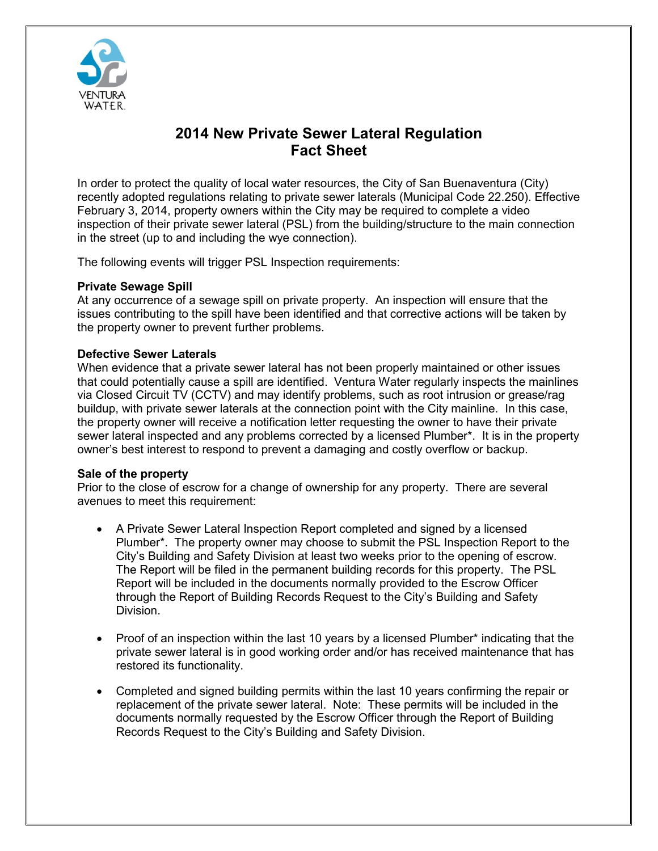

# **2014 New Private Sewer Lateral Regulation Fact Sheet**

In order to protect the quality of local water resources, the City of San Buenaventura (City) recently adopted regulations relating to private sewer laterals (Municipal Code 22.250). Effective February 3, 2014, property owners within the City may be required to complete a video inspection of their private sewer lateral (PSL) from the building/structure to the main connection in the street (up to and including the wye connection).

The following events will trigger PSL Inspection requirements:

## **Private Sewage Spill**

At any occurrence of a sewage spill on private property. An inspection will ensure that the issues contributing to the spill have been identified and that corrective actions will be taken by the property owner to prevent further problems.

# **Defective Sewer Laterals**

When evidence that a private sewer lateral has not been properly maintained or other issues that could potentially cause a spill are identified. Ventura Water regularly inspects the mainlines via Closed Circuit TV (CCTV) and may identify problems, such as root intrusion or grease/rag buildup, with private sewer laterals at the connection point with the City mainline. In this case, the property owner will receive a notification letter requesting the owner to have their private sewer lateral inspected and any problems corrected by a licensed Plumber\*. It is in the property owner's best interest to respond to prevent a damaging and costly overflow or backup.

## **Sale of the property**

Prior to the close of escrow for a change of ownership for any property. There are several avenues to meet this requirement:

- A Private Sewer Lateral Inspection Report completed and signed by a licensed Plumber\*. The property owner may choose to submit the PSL Inspection Report to the City's Building and Safety Division at least two weeks prior to the opening of escrow. The Report will be filed in the permanent building records for this property. The PSL Report will be included in the documents normally provided to the Escrow Officer through the Report of Building Records Request to the City's Building and Safety Division.
- Proof of an inspection within the last 10 years by a licensed Plumber\* indicating that the private sewer lateral is in good working order and/or has received maintenance that has restored its functionality.
- Completed and signed building permits within the last 10 years confirming the repair or replacement of the private sewer lateral. Note: These permits will be included in the documents normally requested by the Escrow Officer through the Report of Building Records Request to the City's Building and Safety Division.